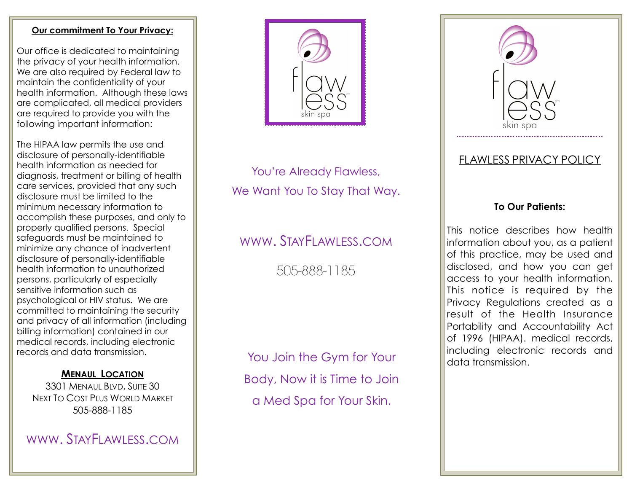#### **Our commitment To Your Privacy:**

Our office is dedicated to maintaining the privacy of your health information. We are also required by Federal law to maintain the confidentiality of your health information. Although these laws are complicated, all medical providers are required to provide you with the following important information:

The HIPAA law permits the use and disclosure of personally-identifiable health information as needed for diagnosis, treatment or billing of health care services, provided that any such disclosure must be limited to the minimum necessary information to accomplish these purposes, and only to properly qualified persons. Special safeguards must be maintained to minimize any chance of inadvertent disclosure of personally-identifiable health information to unauthorized persons, particularly of especially sensitive information such as psychological or HIV status. We are committed to maintaining the security and privacy of all information (including billing information) contained in our medical records, including electronic records and data transmission.

### **MENAUL LOCATION**

3301 MENAUL BLVD, SUITE 30 NEXT TO COST PLUS WORLD MARKET 505-888-1185

WWW. STAYFLAWLESS.COM



You're Already Flawless, We Want You To Stay That Way.

# WWW. STAYFLAWLESS.COM

505-888-1185

You Join the Gym for Your Body, Now it is Time to Join a Med Spa for Your Skin.



## FLAWLESS PRIVACY POLICY

### **To Our Patients:**

This notice describes how health information about you, as a patient of this practice, may be used and disclosed, and how you can get access to your health information. This notice is required by the Privacy Regulations created as a result of the Health Insurance Portability and Accountability Act of 1996 (HIPAA). medical records, including electronic records and data transmission.